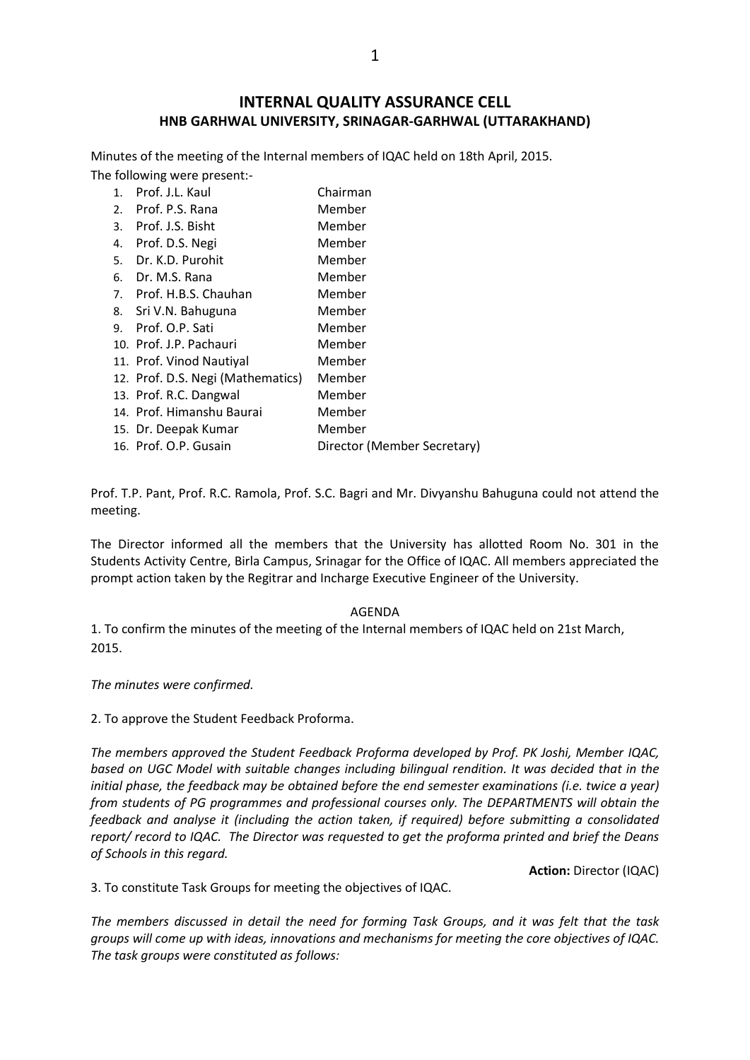## **INTERNAL QUALITY ASSURANCE CELL HNB GARHWAL UNIVERSITY, SRINAGAR-GARHWAL (UTTARAKHAND)**

Minutes of the meeting of the Internal members of IQAC held on 18th April, 2015. The following were present:-

| Director (Member Secretary) |
|-----------------------------|
|                             |

Prof. T.P. Pant, Prof. R.C. Ramola, Prof. S.C. Bagri and Mr. Divyanshu Bahuguna could not attend the meeting.

The Director informed all the members that the University has allotted Room No. 301 in the Students Activity Centre, Birla Campus, Srinagar for the Office of IQAC. All members appreciated the prompt action taken by the Regitrar and Incharge Executive Engineer of the University.

## AGENDA

1. To confirm the minutes of the meeting of the Internal members of IQAC held on 21st March, 2015.

*The minutes were confirmed.*

2. To approve the Student Feedback Proforma.

*The members approved the Student Feedback Proforma developed by Prof. PK Joshi, Member IQAC, based on UGC Model with suitable changes including bilingual rendition. It was decided that in the initial phase, the feedback may be obtained before the end semester examinations (i.e. twice a year) from students of PG programmes and professional courses only. The DEPARTMENTS will obtain the feedback and analyse it (including the action taken, if required) before submitting a consolidated report/ record to IQAC. The Director was requested to get the proforma printed and brief the Deans of Schools in this regard.*

**Action:** Director (IQAC)

3. To constitute Task Groups for meeting the objectives of IQAC.

*The members discussed in detail the need for forming Task Groups, and it was felt that the task groups will come up with ideas, innovations and mechanisms for meeting the core objectives of IQAC. The task groups were constituted as follows:*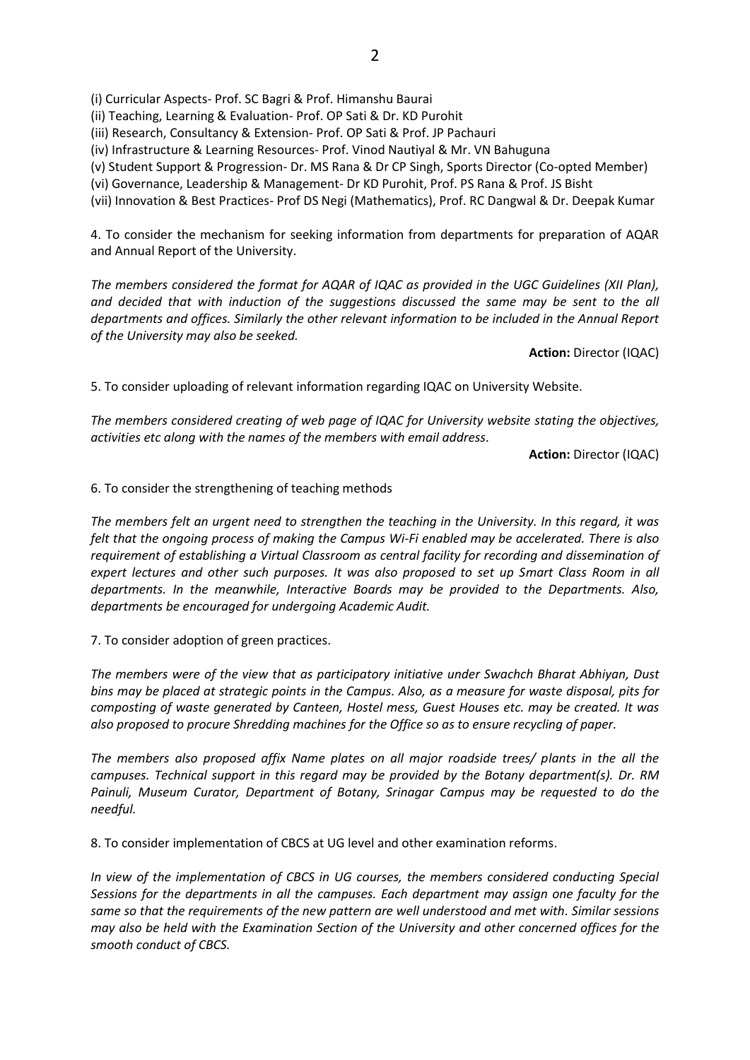(i) Curricular Aspects- Prof. SC Bagri & Prof. Himanshu Baurai

(ii) Teaching, Learning & Evaluation- Prof. OP Sati & Dr. KD Purohit

(iii) Research, Consultancy & Extension- Prof. OP Sati & Prof. JP Pachauri

(iv) Infrastructure & Learning Resources- Prof. Vinod Nautiyal & Mr. VN Bahuguna

(v) Student Support & Progression- Dr. MS Rana & Dr CP Singh, Sports Director (Co-opted Member)

(vi) Governance, Leadership & Management- Dr KD Purohit, Prof. PS Rana & Prof. JS Bisht

(vii) Innovation & Best Practices- Prof DS Negi (Mathematics), Prof. RC Dangwal & Dr. Deepak Kumar

4. To consider the mechanism for seeking information from departments for preparation of AQAR and Annual Report of the University.

*The members considered the format for AQAR of IQAC as provided in the UGC Guidelines (XII Plan), and decided that with induction of the suggestions discussed the same may be sent to the all departments and offices. Similarly the other relevant information to be included in the Annual Report of the University may also be seeked.*

**Action:** Director (IQAC)

5. To consider uploading of relevant information regarding IQAC on University Website.

*The members considered creating of web page of IQAC for University website stating the objectives, activities etc along with the names of the members with email address.* 

**Action:** Director (IQAC)

6. To consider the strengthening of teaching methods

*The members felt an urgent need to strengthen the teaching in the University. In this regard, it was felt that the ongoing process of making the Campus Wi-Fi enabled may be accelerated. There is also requirement of establishing a Virtual Classroom as central facility for recording and dissemination of expert lectures and other such purposes. It was also proposed to set up Smart Class Room in all departments. In the meanwhile, Interactive Boards may be provided to the Departments. Also, departments be encouraged for undergoing Academic Audit.*

7. To consider adoption of green practices.

*The members were of the view that as participatory initiative under Swachch Bharat Abhiyan, Dust bins may be placed at strategic points in the Campus. Also, as a measure for waste disposal, pits for composting of waste generated by Canteen, Hostel mess, Guest Houses etc. may be created. It was also proposed to procure Shredding machines for the Office so as to ensure recycling of paper.*

*The members also proposed affix Name plates on all major roadside trees/ plants in the all the campuses. Technical support in this regard may be provided by the Botany department(s). Dr. RM Painuli, Museum Curator, Department of Botany, Srinagar Campus may be requested to do the needful.*

8. To consider implementation of CBCS at UG level and other examination reforms.

*In view of the implementation of CBCS in UG courses, the members considered conducting Special Sessions for the departments in all the campuses. Each department may assign one faculty for the same so that the requirements of the new pattern are well understood and met with. Similar sessions may also be held with the Examination Section of the University and other concerned offices for the smooth conduct of CBCS.*